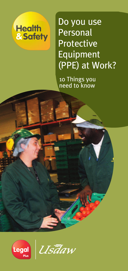

Do you use **Personal** Protective Equipment (PPE) at Work?

10 Things you need to know



Ustlaw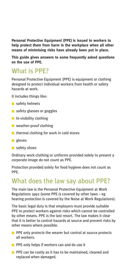**Personal Protective Equipment (PPE) is issued to workers to help protect them from harm in the workplace when all other means of minimising risks have already been put in place.**

**This guide gives answers to some frequently asked questions on the use of PPE.**

### What is PPE?

Personal Protective Equipment (PPE) is equipment or clothing designed to protect individual workers from health or safety hazards at work.

It includes things like:

- safety helmets
- safety glasses or goggles
- **hi-visibility clothing**
- weather-proof clothing
- thermal clothing for work in cold stores
- e gloves
- safety shoes

Ordinary work-clothing or uniforms provided solely to present a corporate image do not count as PPE.

Protection provided solely for food hygiene does not count as PPE.

## What does the law say about PPE?

The main law is the Personal Protective Equipment at Work Regulations 1992 (some PPE is covered by other laws – eg hearing protection is covered by the Noise at Work Regulations).

The basic legal duty is that employers must provide suitable PPE to protect workers against risks which cannot be controlled by other means. PPE is the last resort. The law makes it clear that it is better to control hazards at source and prevent risks by other means where possible.

- **PPE only protects the wearer but control at source protects** all workers.
- **PPE only helps if workers can and do use it**
- **PPE can be costly as it has to be maintained, cleaned and** replaced when damaged.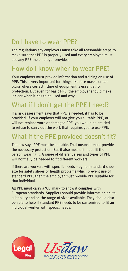## Do I have to wear PPE?

The regulations say employers must take all reasonable steps to make sure that PPE is properly used and every employee must use any PPE the employer provides.

## How do I know when to wear PPE?

Your employer must provide information and training on use of PPE. This is very important for things like face masks or ear plugs where correct fitting of equipment is essential for protection. But even for basic PPE, the employer should make it clear when it has to be used and why.

# What if I don't get the PPE I need?

If a risk assessment says that PPE is needed, it has to be provided. If your employer will not give you suitable PPE, or will not replace worn or damaged PPE, you would be entitled to refuse to carry out the work that requires you to use PPE.

## What if the PPE provided doesn't fit?

The law says PPE must be suitable. That means it must provide the necessary protection. But it also means it must fit the person wearing it. A range of different sizes and types of PPE will normally be needed to fit different workers.

If there are workers with specific needs – eg non-standard shoe size for safety shoes or health problems which prevent use of standard PPE, then the employer must provide PPE suitable for that individual.

All PPE must carry a 'CE' mark to show it complies with European standards. Suppliers should provide information on its suitability and on the range of sizes available. They should also be able to help if standard PPE needs to be customised to fit an individual worker with special needs.



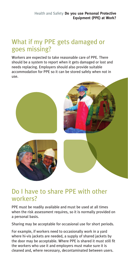## What if my PPE gets damaged or goes missing?

Workers are expected to take reasonable care of PPE. There should be a system to report when it gets damaged or lost and needs replacing. Employers should also provide suitable accommodation for PPE so it can be stored safely when not in use.



#### Do I have to share PPE with other workers?

PPE must be readily available and must be used at all times when the risk assessment requires, so it is normally provided on a personal basis.

Sharing may be acceptable for occasional use for short periods.

For example, if workers need to occasionally work in a yard where hi-vis jackets are needed, a supply of shared jackets by the door may be acceptable. Where PPE is shared it must still fit the workers who use it and employers must make sure it is cleaned and, where necessary, decontaminated between users.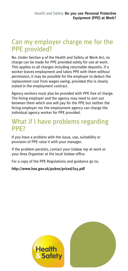## Can my employer charge me for the PPE provided?

No. Under Section 9 of the Health and Safety at Work Act, no charge can be made for PPE provided solely for use at work. This applies to all charges including returnable deposits. If a worker leaves employment and takes PPE with them without permission, it may be possible for the employer to deduct the replacement cost from wages owing, provided this is clearly stated in the employment contract.

Agency workers must also be provided with PPE free of charge. The hiring employer and the agency may need to sort out between them which one will pay for the PPE but neither the hiring employer nor the employment agency can charge the individual agency worker for PPE provided.

### What if I have problems regarding PPE?

If you have a problem with the issue, use, suitability or provision of PPE raise it with your manager.

If the problem persists, contact your Usdaw rep at work or your Area Organiser at the local Usdaw office.

For a copy of the PPE Regulations and guidance go to;

**http://www.hse.gov.uk/pubns/priced/l25.pdf**